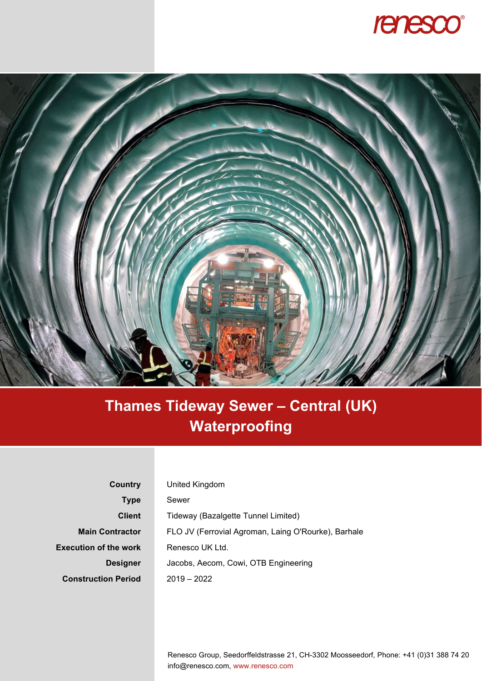



## **Thames Tideway Sewer – Central (UK) Waterproofing**

| Country                      | United Kingdom                                      |
|------------------------------|-----------------------------------------------------|
| Type                         | Sewer                                               |
| <b>Client</b>                | Tideway (Bazalgette Tunnel Limited)                 |
| <b>Main Contractor</b>       | FLO JV (Ferrovial Agroman, Laing O'Rourke), Barhale |
| <b>Execution of the work</b> | Renesco UK Ltd.                                     |
| <b>Designer</b>              | Jacobs, Aecom, Cowi, OTB Engineering                |
| <b>Construction Period</b>   | $2019 - 2022$                                       |